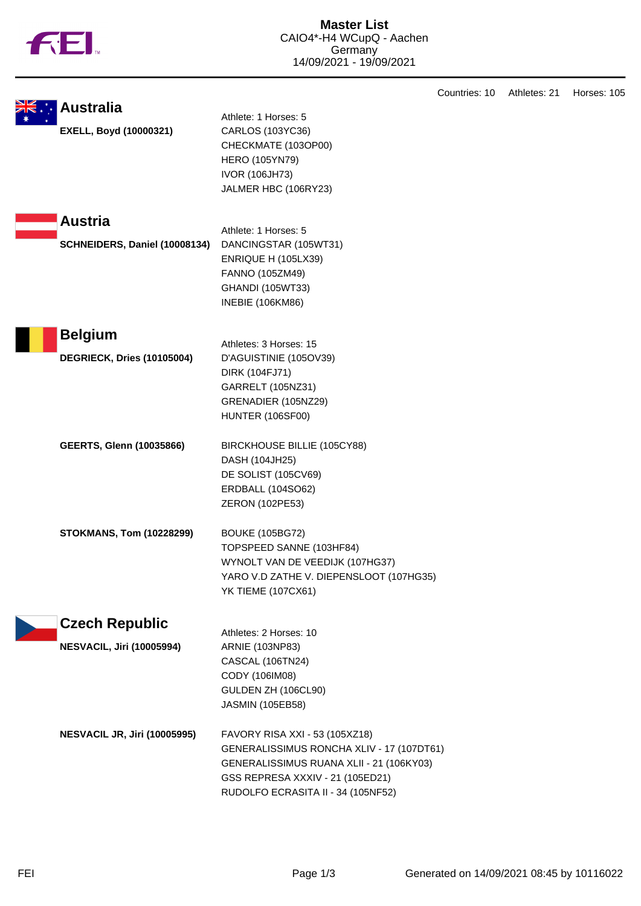

|                                                 |                                                                                                                                                                                                   | Countries: 10 | Athletes: 21 | Horses: 105 |
|-------------------------------------------------|---------------------------------------------------------------------------------------------------------------------------------------------------------------------------------------------------|---------------|--------------|-------------|
| <b>Australia</b><br>EXELL, Boyd (10000321)      | Athlete: 1 Horses: 5<br>CARLOS (103YC36)<br>CHECKMATE (103OP00)<br><b>HERO (105YN79)</b><br><b>IVOR (106JH73)</b><br>JALMER HBC (106RY23)                                                         |               |              |             |
| <b>Austria</b><br>SCHNEIDERS, Daniel (10008134) | Athlete: 1 Horses: 5<br>DANCINGSTAR (105WT31)<br>ENRIQUE H (105LX39)<br>FANNO (105ZM49)<br>GHANDI (105WT33)<br><b>INEBIE (106KM86)</b>                                                            |               |              |             |
| <b>Belgium</b>                                  |                                                                                                                                                                                                   |               |              |             |
| DEGRIECK, Dries (10105004)                      | Athletes: 3 Horses: 15<br>D'AGUISTINIE (105OV39)<br>DIRK (104FJ71)<br>GARRELT (105NZ31)<br>GRENADIER (105NZ29)<br><b>HUNTER (106SF00)</b>                                                         |               |              |             |
| <b>GEERTS, Glenn (10035866)</b>                 | BIRCKHOUSE BILLIE (105CY88)<br>DASH (104JH25)<br>DE SOLIST (105CV69)<br><b>ERDBALL (104SO62)</b><br>ZERON (102PE53)                                                                               |               |              |             |
| <b>STOKMANS, Tom (10228299)</b>                 | <b>BOUKE (105BG72)</b><br>TOPSPEED SANNE (103HF84)<br>WYNOLT VAN DE VEEDIJK (107HG37)<br>YARO V.D ZATHE V. DIEPENSLOOT (107HG35)<br><b>YK TIEME (107CX61)</b>                                     |               |              |             |
| <b>Czech Republic</b>                           |                                                                                                                                                                                                   |               |              |             |
| <b>NESVACIL, Jiri (10005994)</b>                | Athletes: 2 Horses: 10<br>ARNIE (103NP83)<br><b>CASCAL (106TN24)</b><br>CODY (106IM08)<br>GULDEN ZH (106CL90)<br><b>JASMIN (105EB58)</b>                                                          |               |              |             |
| <b>NESVACIL JR, Jiri (10005995)</b>             | FAVORY RISA XXI - 53 (105XZ18)<br>GENERALISSIMUS RONCHA XLIV - 17 (107DT61)<br>GENERALISSIMUS RUANA XLII - 21 (106KY03)<br>GSS REPRESA XXXIV - 21 (105ED21)<br>RUDOLFO ECRASITA II - 34 (105NF52) |               |              |             |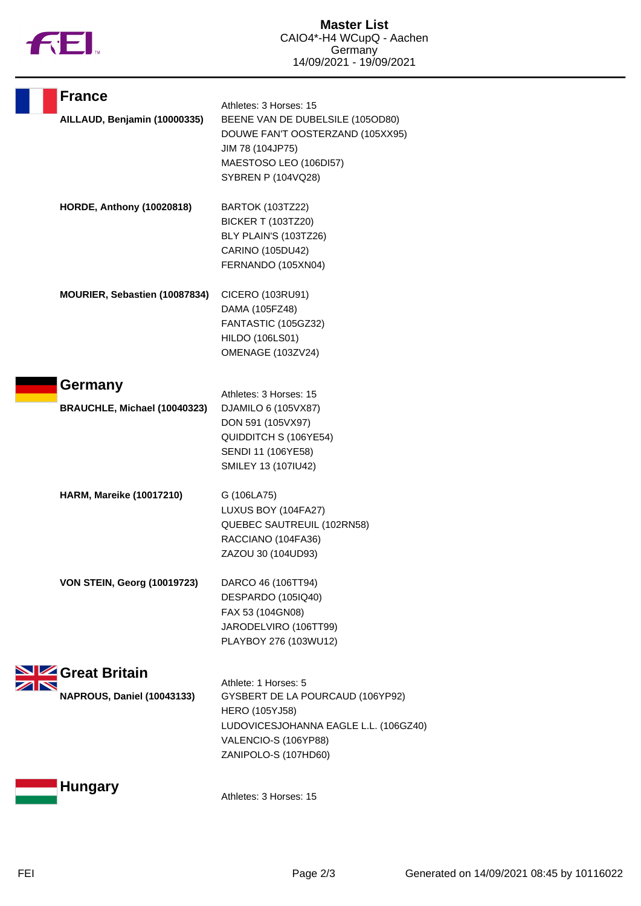

| <b>France</b>                      | Athletes: 3 Horses: 15                                                                                                                                              |
|------------------------------------|---------------------------------------------------------------------------------------------------------------------------------------------------------------------|
| AILLAUD, Benjamin (10000335)       | BEENE VAN DE DUBELSILE (105OD80)<br>DOUWE FAN'T OOSTERZAND (105XX95)<br>JIM 78 (104JP75)<br>MAESTOSO LEO (106DI57)                                                  |
|                                    | <b>SYBREN P (104VQ28)</b>                                                                                                                                           |
| <b>HORDE, Anthony (10020818)</b>   | <b>BARTOK (103TZ22)</b><br><b>BICKER T (103TZ20)</b><br>BLY PLAIN'S (103TZ26)<br>CARINO (105DU42)<br>FERNANDO (105XN04)                                             |
| MOURIER, Sebastien (10087834)      | CICERO (103RU91)<br>DAMA (105FZ48)<br>FANTASTIC (105GZ32)<br>HILDO (106LS01)<br>OMENAGE (103ZV24)                                                                   |
| Germany                            | Athletes: 3 Horses: 15                                                                                                                                              |
| BRAUCHLE, Michael (10040323)       | DJAMILO 6 (105VX87)<br>DON 591 (105VX97)<br>QUIDDITCH S (106YE54)<br>SENDI 11 (106YE58)<br>SMILEY 13 (107IU42)                                                      |
| <b>HARM, Mareike (10017210)</b>    | G (106LA75)<br>LUXUS BOY (104FA27)<br>QUEBEC SAUTREUIL (102RN58)<br>RACCIANO (104FA36)<br>ZAZOU 30 (104UD93)                                                        |
| <b>VON STEIN, Georg (10019723)</b> | DARCO 46 (106TT94)<br>DESPARDO (105IQ40)<br>FAX 53 (104GN08)<br>JARODELVIRO (106TT99)<br>PLAYBOY 276 (103WU12)                                                      |
| Great Britain                      |                                                                                                                                                                     |
| <b>NAPROUS, Daniel (10043133)</b>  | Athlete: 1 Horses: 5<br>GYSBERT DE LA POURCAUD (106YP92)<br>HERO (105YJ58)<br>LUDOVICESJOHANNA EAGLE L.L. (106GZ40)<br>VALENCIO-S (106YP88)<br>ZANIPOLO-S (107HD60) |
| <b>Hungary</b>                     | Athletes: 3 Horses: 15                                                                                                                                              |